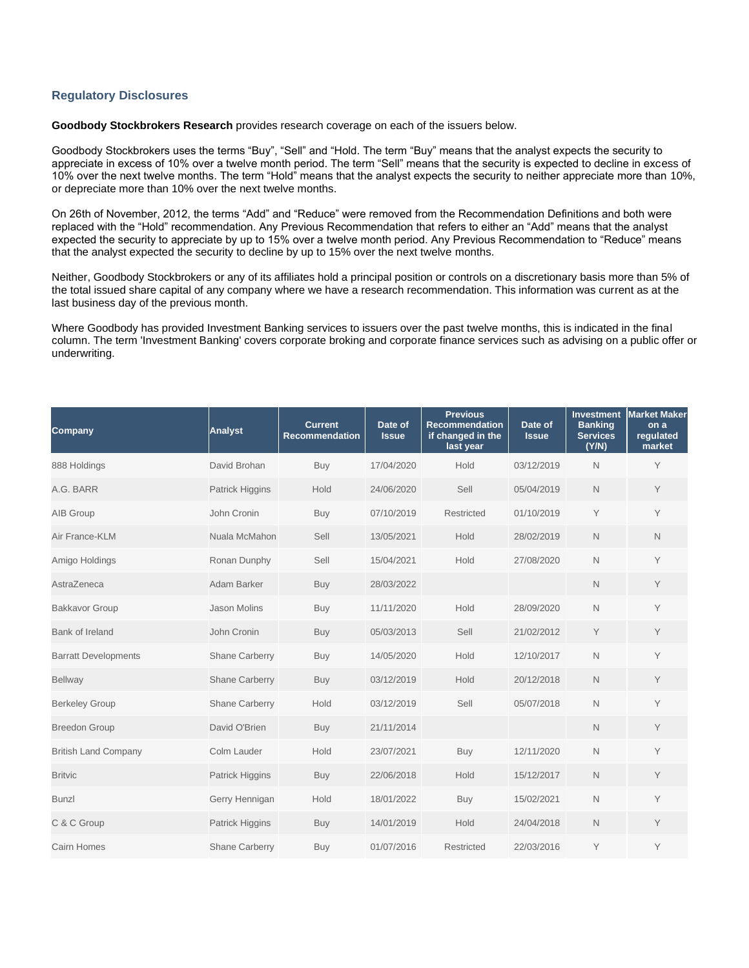## **Regulatory Disclosures**

**Goodbody Stockbrokers Research** provides research coverage on each of the issuers below.

Goodbody Stockbrokers uses the terms "Buy", "Sell" and "Hold. The term "Buy" means that the analyst expects the security to appreciate in excess of 10% over a twelve month period. The term "Sell" means that the security is expected to decline in excess of 10% over the next twelve months. The term "Hold" means that the analyst expects the security to neither appreciate more than 10%, or depreciate more than 10% over the next twelve months.

On 26th of November, 2012, the terms "Add" and "Reduce" were removed from the Recommendation Definitions and both were replaced with the "Hold" recommendation. Any Previous Recommendation that refers to either an "Add" means that the analyst expected the security to appreciate by up to 15% over a twelve month period. Any Previous Recommendation to "Reduce" means that the analyst expected the security to decline by up to 15% over the next twelve months.

Neither, Goodbody Stockbrokers or any of its affiliates hold a principal position or controls on a discretionary basis more than 5% of the total issued share capital of any company where we have a research recommendation. This information was current as at the last business day of the previous month.

Where Goodbody has provided Investment Banking services to issuers over the past twelve months, this is indicated in the final column. The term 'Investment Banking' covers corporate broking and corporate finance services such as advising on a public offer or underwriting.

| <b>Company</b>              | <b>Analyst</b>         | <b>Current</b><br><b>Recommendation</b> | Date of<br><b>Issue</b> | <b>Previous</b><br><b>Recommendation</b><br>if changed in the<br>last year | Date of<br><b>Issue</b> | <b>Investment</b><br><b>Banking</b><br><b>Services</b><br>(Y/N) | <b>Market Maker</b><br>on a<br>regulated<br>market |
|-----------------------------|------------------------|-----------------------------------------|-------------------------|----------------------------------------------------------------------------|-------------------------|-----------------------------------------------------------------|----------------------------------------------------|
| 888 Holdings                | David Brohan           | Buy                                     | 17/04/2020              | Hold                                                                       | 03/12/2019              | $\mathsf{N}$                                                    | Y                                                  |
| A.G. BARR                   | Patrick Higgins        | Hold                                    | 24/06/2020              | Sell                                                                       | 05/04/2019              | $\mathsf N$                                                     | Y                                                  |
| AIB Group                   | John Cronin            | Buy                                     | 07/10/2019              | Restricted                                                                 | 01/10/2019              | Y                                                               | Y                                                  |
| Air France-KLM              | Nuala McMahon          | Sell                                    | 13/05/2021              | Hold                                                                       | 28/02/2019              | $\mathsf{N}$                                                    | $\mathsf{N}$                                       |
| Amigo Holdings              | Ronan Dunphy           | Sell                                    | 15/04/2021              | Hold                                                                       | 27/08/2020              | $\mathsf{N}$                                                    | Y                                                  |
| AstraZeneca                 | Adam Barker            | <b>Buy</b>                              | 28/03/2022              |                                                                            |                         | N                                                               | Y                                                  |
| <b>Bakkavor Group</b>       | <b>Jason Molins</b>    | Buy                                     | 11/11/2020              | Hold                                                                       | 28/09/2020              | N                                                               | Y                                                  |
| <b>Bank of Ireland</b>      | John Cronin            | Buy                                     | 05/03/2013              | Sell                                                                       | 21/02/2012              | Y                                                               | Y                                                  |
| <b>Barratt Developments</b> | <b>Shane Carberry</b>  | Buy                                     | 14/05/2020              | Hold                                                                       | 12/10/2017              | $\mathsf{N}$                                                    | Y                                                  |
| <b>Bellway</b>              | <b>Shane Carberry</b>  | Buy                                     | 03/12/2019              | Hold                                                                       | 20/12/2018              | $\mathsf N$                                                     | Y                                                  |
| <b>Berkeley Group</b>       | <b>Shane Carberry</b>  | Hold                                    | 03/12/2019              | Sell                                                                       | 05/07/2018              | N                                                               | Y                                                  |
| <b>Breedon Group</b>        | David O'Brien          | Buy                                     | 21/11/2014              |                                                                            |                         | $\mathsf{N}$                                                    | Y                                                  |
| <b>British Land Company</b> | Colm Lauder            | Hold                                    | 23/07/2021              | Buy                                                                        | 12/11/2020              | $\mathsf{N}$                                                    | Y                                                  |
| <b>Britvic</b>              | Patrick Higgins        | Buy                                     | 22/06/2018              | Hold                                                                       | 15/12/2017              | $\mathbb N$                                                     | Y                                                  |
| <b>Bunzl</b>                | Gerry Hennigan         | Hold                                    | 18/01/2022              | Buy                                                                        | 15/02/2021              | $\mathsf{N}$                                                    | Y                                                  |
| C & C Group                 | <b>Patrick Higgins</b> | Buy                                     | 14/01/2019              | Hold                                                                       | 24/04/2018              | $\mathsf{N}$                                                    | Y                                                  |
| Cairn Homes                 | <b>Shane Carberry</b>  | Buy                                     | 01/07/2016              | Restricted                                                                 | 22/03/2016              | Y                                                               | Y                                                  |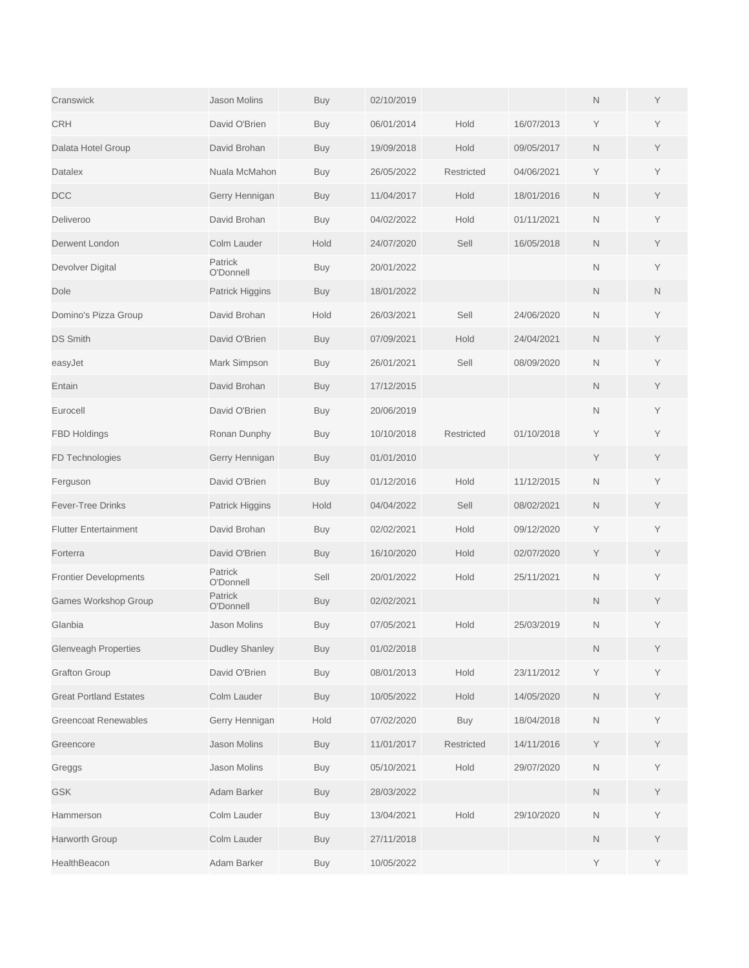| Cranswick                     | <b>Jason Molins</b>   | Buy        | 02/10/2019 |                   |            | $\mathsf{N}$ | Y |
|-------------------------------|-----------------------|------------|------------|-------------------|------------|--------------|---|
| <b>CRH</b>                    | David O'Brien         | Buy        | 06/01/2014 | Hold              | 16/07/2013 | Υ            | Y |
| Dalata Hotel Group            | David Brohan          | <b>Buy</b> | 19/09/2018 | Hold              | 09/05/2017 | N            | Y |
| <b>Datalex</b>                | Nuala McMahon         | <b>Buy</b> | 26/05/2022 | <b>Restricted</b> | 04/06/2021 | Υ            | Y |
| <b>DCC</b>                    | Gerry Hennigan        | <b>Buy</b> | 11/04/2017 | Hold              | 18/01/2016 | N            | Y |
| Deliveroo                     | David Brohan          | Buy        | 04/02/2022 | Hold              | 01/11/2021 | $\mathsf{N}$ | Y |
| Derwent London                | Colm Lauder           | Hold       | 24/07/2020 | Sell              | 16/05/2018 | N            | Y |
| Devolver Digital              | Patrick<br>O'Donnell  | <b>Buy</b> | 20/01/2022 |                   |            | N            | Y |
| Dole                          | Patrick Higgins       | <b>Buy</b> | 18/01/2022 |                   |            | N            | N |
| Domino's Pizza Group          | David Brohan          | Hold       | 26/03/2021 | Sell              | 24/06/2020 | $\mathsf{N}$ | Y |
| <b>DS Smith</b>               | David O'Brien         | <b>Buy</b> | 07/09/2021 | Hold              | 24/04/2021 | N            | Y |
| easyJet                       | Mark Simpson          | <b>Buy</b> | 26/01/2021 | Sell              | 08/09/2020 | N            | Y |
| Entain                        | David Brohan          | <b>Buy</b> | 17/12/2015 |                   |            | N            | Y |
| Eurocell                      | David O'Brien         | Buy        | 20/06/2019 |                   |            | $\mathsf{N}$ | Y |
| <b>FBD Holdings</b>           | Ronan Dunphy          | Buy        | 10/10/2018 | Restricted        | 01/10/2018 | Y            | Y |
| FD Technologies               | Gerry Hennigan        | <b>Buy</b> | 01/01/2010 |                   |            | Y            | Y |
| Ferguson                      | David O'Brien         | <b>Buy</b> | 01/12/2016 | Hold              | 11/12/2015 | $\mathsf{N}$ | Y |
| <b>Fever-Tree Drinks</b>      | Patrick Higgins       | Hold       | 04/04/2022 | Sell              | 08/02/2021 | N            | Y |
| <b>Flutter Entertainment</b>  | David Brohan          | <b>Buy</b> | 02/02/2021 | Hold              | 09/12/2020 | Υ            | Y |
| Forterra                      | David O'Brien         | <b>Buy</b> | 16/10/2020 | Hold              | 02/07/2020 | Y            | Y |
| <b>Frontier Developments</b>  | Patrick<br>O'Donnell  | Sell       | 20/01/2022 | Hold              | 25/11/2021 | N            | Y |
| Games Workshop Group          | Patrick<br>O'Donnell  | <b>Buy</b> | 02/02/2021 |                   |            | N            | Y |
| Glanbia                       | <b>Jason Molins</b>   | Buy        | 07/05/2021 | Hold              | 25/03/2019 | $\mathsf{N}$ | Y |
| <b>Glenveagh Properties</b>   | <b>Dudley Shanley</b> | <b>Buy</b> | 01/02/2018 |                   |            | $\mathsf N$  | Y |
| <b>Grafton Group</b>          | David O'Brien         | <b>Buy</b> | 08/01/2013 | Hold              | 23/11/2012 | Υ            | Υ |
| <b>Great Portland Estates</b> | Colm Lauder           | <b>Buy</b> | 10/05/2022 | Hold              | 14/05/2020 | $\mathsf N$  | Y |
| <b>Greencoat Renewables</b>   | Gerry Hennigan        | Hold       | 07/02/2020 | <b>Buy</b>        | 18/04/2018 | $\mathsf N$  | Y |
| Greencore                     | Jason Molins          | <b>Buy</b> | 11/01/2017 | Restricted        | 14/11/2016 | Y            | Υ |
| Greggs                        | Jason Molins          | <b>Buy</b> | 05/10/2021 | Hold              | 29/07/2020 | $\mathsf N$  | Y |
| <b>GSK</b>                    | Adam Barker           | <b>Buy</b> | 28/03/2022 |                   |            | $\mathsf N$  | Y |
| Hammerson                     | Colm Lauder           | <b>Buy</b> | 13/04/2021 | Hold              | 29/10/2020 | $\mathsf N$  | Y |
| Harworth Group                | Colm Lauder           | <b>Buy</b> | 27/11/2018 |                   |            | $\mathsf N$  | Υ |
| HealthBeacon                  | Adam Barker           | Buy        | 10/05/2022 |                   |            | Υ            | Y |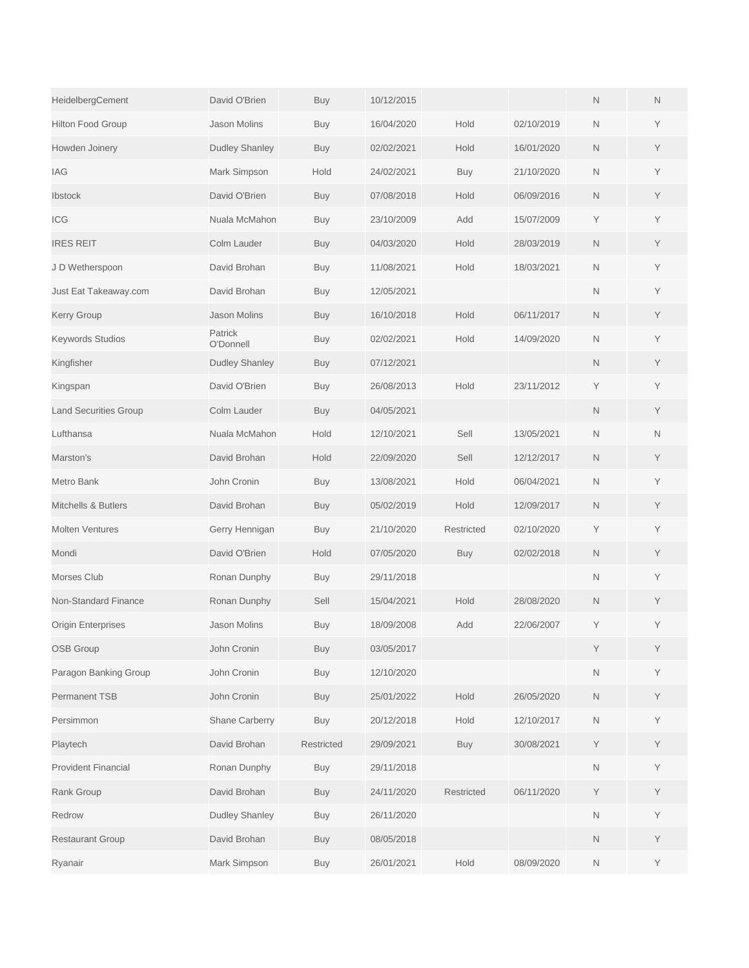| HeidelbergCement               | David O'Brien         | Buy        | 10/12/2015 |            |            | N            | N |
|--------------------------------|-----------------------|------------|------------|------------|------------|--------------|---|
| <b>Hilton Food Group</b>       | <b>Jason Molins</b>   | Buy        | 16/04/2020 | Hold       | 02/10/2019 | $\mathsf{N}$ | Y |
| Howden Joinery                 | <b>Dudley Shanley</b> | <b>Buy</b> | 02/02/2021 | Hold       | 16/01/2020 | N            | Y |
| IAG                            | Mark Simpson          | Hold       | 24/02/2021 | Buy        | 21/10/2020 | N            | Y |
| Ibstock                        | David O'Brien         | Buy        | 07/08/2018 | Hold       | 06/09/2016 | N            | Y |
| <b>ICG</b>                     | Nuala McMahon         | Buy        | 23/10/2009 | Add        | 15/07/2009 | Υ            | Y |
| <b>IRES REIT</b>               | Colm Lauder           | <b>Buy</b> | 04/03/2020 | Hold       | 28/03/2019 | N            | Y |
| J D Wetherspoon                | David Brohan          | <b>Buy</b> | 11/08/2021 | Hold       | 18/03/2021 | N            | Υ |
| Just Eat Takeaway.com          | David Brohan          | <b>Buy</b> | 12/05/2021 |            |            | $\mathsf{N}$ | Y |
| <b>Kerry Group</b>             | <b>Jason Molins</b>   | <b>Buy</b> | 16/10/2018 | Hold       | 06/11/2017 | N            | Y |
| <b>Keywords Studios</b>        | Patrick<br>O'Donnell  | Buy        | 02/02/2021 | Hold       | 14/09/2020 | N            | Υ |
| Kingfisher                     | <b>Dudley Shanley</b> | <b>Buy</b> | 07/12/2021 |            |            | $\mathsf{N}$ | Y |
| Kingspan                       | David O'Brien         | Buy        | 26/08/2013 | Hold       | 23/11/2012 | Y            | Υ |
| <b>Land Securities Group</b>   | Colm Lauder           | <b>Buy</b> | 04/05/2021 |            |            | N            | Y |
| Lufthansa                      | Nuala McMahon         | Hold       | 12/10/2021 | Sell       | 13/05/2021 | $\mathsf{N}$ | N |
| Marston's                      | David Brohan          | Hold       | 22/09/2020 | Sell       | 12/12/2017 | N            | Y |
| Metro Bank                     | John Cronin           | Buy        | 13/08/2021 | Hold       | 06/04/2021 | N            | Υ |
| <b>Mitchells &amp; Butlers</b> | David Brohan          | <b>Buy</b> | 05/02/2019 | Hold       | 12/09/2017 | N            | Y |
| <b>Molten Ventures</b>         | Gerry Hennigan        | <b>Buy</b> | 21/10/2020 | Restricted | 02/10/2020 | Υ            | Y |
| Mondi                          | David O'Brien         | Hold       | 07/05/2020 | <b>Buy</b> | 02/02/2018 | $\mathsf{N}$ | Y |
| Morses Club                    | Ronan Dunphy          | <b>Buy</b> | 29/11/2018 |            |            | $\mathsf{N}$ | Y |
| Non-Standard Finance           | Ronan Dunphy          | Sell       | 15/04/2021 | Hold       | 28/08/2020 | N            | Y |
| <b>Origin Enterprises</b>      | <b>Jason Molins</b>   | Buy        | 18/09/2008 | Add        | 22/06/2007 | Υ            | Y |
| <b>OSB Group</b>               | John Cronin           | <b>Buy</b> | 03/05/2017 |            |            | Y            | Y |
| Paragon Banking Group          | John Cronin           | Buy        | 12/10/2020 |            |            | $\hbox{N}$   | Υ |
| <b>Permanent TSB</b>           | John Cronin           | <b>Buy</b> | 25/01/2022 | Hold       | 26/05/2020 | $\mathsf N$  | Y |
| Persimmon                      | Shane Carberry        | <b>Buy</b> | 20/12/2018 | Hold       | 12/10/2017 | Ν            | Y |
| Playtech                       | David Brohan          | Restricted | 29/09/2021 | <b>Buy</b> | 30/08/2021 | Y            | Y |
| <b>Provident Financial</b>     | Ronan Dunphy          | <b>Buy</b> | 29/11/2018 |            |            | $\mathsf N$  | Y |
| Rank Group                     | David Brohan          | <b>Buy</b> | 24/11/2020 | Restricted | 06/11/2020 | Y            | Y |
| Redrow                         | Dudley Shanley        | <b>Buy</b> | 26/11/2020 |            |            | N            | Y |
| <b>Restaurant Group</b>        | David Brohan          | <b>Buy</b> | 08/05/2018 |            |            | $\mathsf N$  | Y |
| Ryanair                        | Mark Simpson          | <b>Buy</b> | 26/01/2021 | Hold       | 08/09/2020 | $\mathsf N$  | Υ |